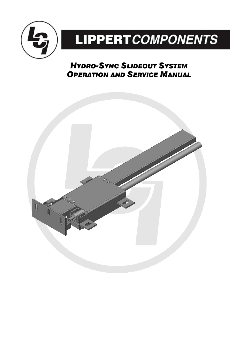

# **LIPPERT** COMPONENTS

# *OPERATION AND SERVICE MANUAL HYDRO-SYNC SLIDEOUT SYSTEM*

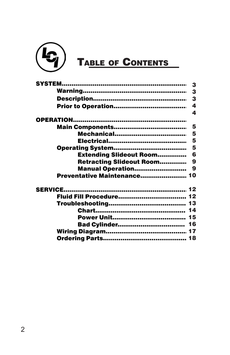

|                                | 3                       |
|--------------------------------|-------------------------|
|                                | 3                       |
|                                | 3                       |
|                                | $\overline{\mathbf{4}}$ |
|                                | 4                       |
|                                |                         |
|                                | 5                       |
| <b>Mechanical</b>              | 5                       |
|                                | 5                       |
|                                | 5                       |
| <b>Extending Slideout Room</b> | 6                       |
| Retracting Slideout Room       | 9                       |
| <b>Manual Operation</b>        | $\boldsymbol{9}$        |
| Preventative Maintenance 10    |                         |
|                                |                         |
|                                |                         |
|                                |                         |
|                                |                         |
|                                |                         |
|                                |                         |
|                                |                         |
|                                |                         |
|                                |                         |
|                                |                         |
|                                |                         |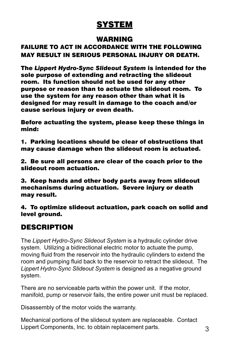# **SYSTEM**

#### WARNING

#### FAILURE TO ACT IN ACCORDANCE WITH THE FOLLOWING MAY RESULT IN SERIOUS PERSONAL INJURY OR DEATH.

The *Lippert Hydro-Sync Slideout System* is intended for the sole purpose of extending and retracting the slideout room. Its function should not be used for any other purpose or reason than to actuate the slideout room. To use the system for any reason other than what it is designed for may result in damage to the coach and/or cause serious injury or even death.

Before actuating the system, please keep these things in mind:

1. Parking locations should be clear of obstructions that may cause damage when the slideout room is actuated.

2. Be sure all persons are clear of the coach prior to the slideout room actuation.

3. Keep hands and other body parts away from slideout mechanisms during actuation. Severe injury or death may result.

4. To optimize slideout actuation, park coach on solid and level around.

#### DESCRIPTION

The *Lippert Hydro-Sync Slideout System* is a hydraulic cylinder drive system. Utilizing a bidirectional electric motor to actuate the pump, moving fluid from the reservoir into the hydraulic cylinders to extend the room and pumping fluid back to the reservoir to retract the slideout. The *Lippert Hydro-Sync Slideout System* is designed as a negative ground system.

There are no serviceable parts within the power unit. If the motor, manifold, pump or reservoir fails, the entire power unit must be replaced.

Disassembly of the motor voids the warranty.

Mechanical portions of the slideout system are replaceable. Contact Lippert Components, Inc. to obtain replacement parts. 3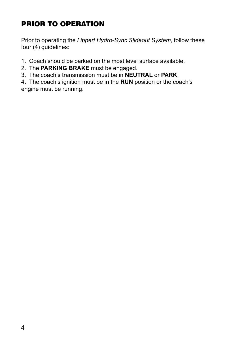# PRIOR TO OPERATION

Prior to operating the *Lippert Hydro-Sync Slideout System*, follow these four (4) guidelines:

1. Coach should be parked on the most level surface available.

- 2. The **PARKING BRAKE** must be engaged.
- 3. The coach's transmission must be in **NEUTRAL** or **PARK**.

4. The coach's ignition must be in the **RUN** position or the coach's engine must be running.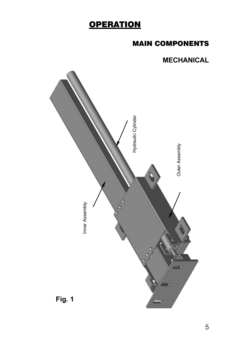# **OPERATION**

# MAIN COMPONENTS

## **MECHANICAL**

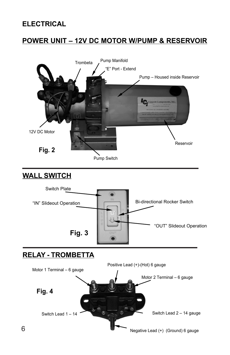#### **ELECTRICAL**

# **POWER UNIT – 12V DC MOTOR W/PUMP & RESERVOIR**



#### **WALL SWITCH**



#### **RELAY - TROMBETTA**

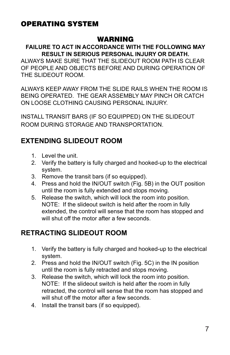# OPERATING SYSTEM

#### WARNING

#### **FAILURE TO ACT IN ACCORDANCE WITH THE FOLLOWING MAY RESULT IN SERIOUS PERSONAL INJURY OR DEATH.**

ALWAYS MAKE SURE THAT THE SLIDEOUT ROOM PATH IS CLEAR OF PEOPLE AND OBJECTS BEFORE AND DURING OPERATION OF THE SLIDEOUT ROOM.

ALWAYS KEEP AWAY FROM THE SLIDE RAILS WHEN THE ROOM IS BEING OPERATED. THE GEAR ASSEMBLY MAY PINCH OR CATCH ON LOOSE CLOTHING CAUSING PERSONAL INJURY.

INSTALL TRANSIT BARS (IF SO EQUIPPED) ON THE SLIDEOUT ROOM DURING STORAGE AND TRANSPORTATION.

#### **EXTENDING SLIDEOUT ROOM**

- 1. Level the unit.
- 2. Verify the battery is fully charged and hooked-up to the electrical system.
- 3. Remove the transit bars (if so equipped).
- 4. Press and hold the IN/OUT switch (Fig. 5B) in the OUT position until the room is fully extended and stops moving.
- 5. Release the switch, which will lock the room into position. NOTE: If the slideout switch is held after the room in fully extended, the control will sense that the room has stopped and will shut off the motor after a few seconds.

#### **RETRACTING SLIDEOUT ROOM**

- 1. Verify the battery is fully charged and hooked-up to the electrical system.
- 2. Press and hold the IN/OUT switch (Fig. 5C) in the IN position until the room is fully retracted and stops moving.
- 3. Release the switch, which will lock the room into position. NOTE: If the slideout switch is held after the room in fully retracted, the control will sense that the room has stopped and will shut off the motor after a few seconds.
- 4. Install the transit bars (if so equipped).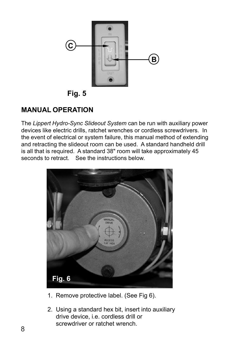

**Fig. 5** 

# **MANUAL OPERATION**

The *Lippert Hydro-Sync Slideout System* can be run with auxiliary power devices like electric drills, ratchet wrenches or cordless screwdrivers. In the event of electrical or system failure, this manual method of extending and retracting the slideout room can be used. A standard handheld drill is all that is required. A standard 38" room will take approximately 45 seconds to retract. See the instructions below.



- 1. Remove protective label. (See Fig 6).
- 2. Using a standard hex bit, insert into auxiliary drive device, i.e. cordless drill or screwdriver or ratchet wrench.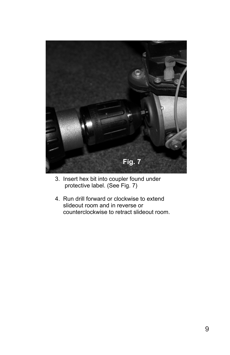

- 3. Insert hex bit into coupler found under protective label. (See Fig. 7)
- 4. Run drill forward or clockwise to extend slideout room and in reverse or counterclockwise to retract slideout room.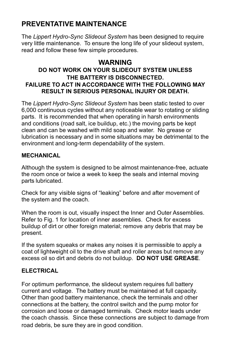# **PREVENTATIVE MAINTENANCE**

The *Lippert Hydro-Sync Slideout System* has been designed to require very little maintenance. To ensure the long life of your slideout system, read and follow these few simple procedures.

#### **WARNING**

#### **DO NOT WORK ON YOUR SLIDEOUT SYSTEM UNLESS THE BATTERY IS DISCONNECTED. FAILURE TO ACT IN ACCORDANCE WITH THE FOLLOWING MAY RESULT IN SERIOUS PERSONAL INJURY OR DEATH.**

The *Lippert Hydro-Sync Slideout System* has been static tested to over 6,000 continuous cycles without any noticeable wear to rotating or sliding parts. It is recommended that when operating in harsh environments and conditions (road salt, ice buildup, etc.) the moving parts be kept clean and can be washed with mild soap and water. No grease or lubrication is necessary and in some situations may be detrimental to the environment and long-term dependability of the system.

#### **MECHANICAL**

Although the system is designed to be almost maintenance-free, actuate the room once or twice a week to keep the seals and internal moving parts lubricated.

Check for any visible signs of "leaking" before and after movement of the system and the coach.

When the room is out, visually inspect the Inner and Outer Assemblies. Refer to Fig. 1 for location of inner assemblies. Check for excess buildup of dirt or other foreign material; remove any debris that may be present.

If the system squeaks or makes any noises it is permissible to apply a coat of lightweight oil to the drive shaft and roller areas but remove any excess oil so dirt and debris do not buildup. **DO NOT USE GREASE**.

#### **ELECTRICAL**

For optimum performance, the slideout system requires full battery current and voltage. The battery must be maintained at full capacity. Other than good battery maintenance, check the terminals and other connections at the battery, the control switch and the pump motor for corrosion and loose or damaged terminals. Check motor leads under the coach chassis. Since these connections are subject to damage from road debris, be sure they are in good condition.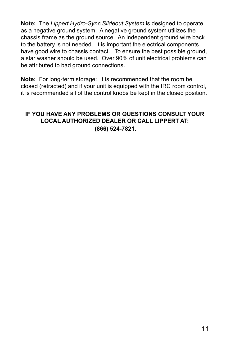**Note:** The *Lippert Hydro-Sync Slideout System* is designed to operate as a negative ground system. A negative ground system utilizes the chassis frame as the ground source. An independent ground wire back to the battery is not needed. It is important the electrical components have good wire to chassis contact. To ensure the best possible ground, a star washer should be used. Over 90% of unit electrical problems can be attributed to bad ground connections.

**Note:** For long-term storage: It is recommended that the room be closed (retracted) and if your unit is equipped with the IRC room control, it is recommended all of the control knobs be kept in the closed position.

#### **IF YOU HAVE ANY PROBLEMS OR QUESTIONS CONSULT YOUR LOCAL AUTHORIZED DEALER OR CALL LIPPERT AT: (866) 524-7821.**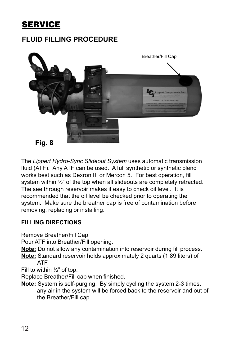# **SERVICE**

# **FLUID FILLING PROCEDURE**



The *Lippert Hydro-Sync Slideout System* uses automatic transmission fluid (ATF). Any ATF can be used. A full synthetic or synthetic blend works best such as Dexron III or Mercon 5. For best operation, fill system within ½" of the top when all slideouts are completely retracted. The see through reservoir makes it easy to check oil level. It is recommended that the oil level be checked prior to operating the system. Make sure the breather cap is free of contamination before removing, replacing or installing.

#### **FILLING DIRECTIONS**

Remove Breather/Fill Cap

Pour ATF into Breather/Fill opening.

**Note:** Do not allow any contamination into reservoir during fill process.

**Note:** Standard reservoir holds approximately 2 quarts (1.89 liters) of ATF.

Fill to within  $\frac{1}{2}$ " of top.

Replace Breather/Fill cap when finished.

**Note:** System is self-purging. By simply cycling the system 2-3 times, any air in the system will be forced back to the reservoir and out of the Breather/Fill cap.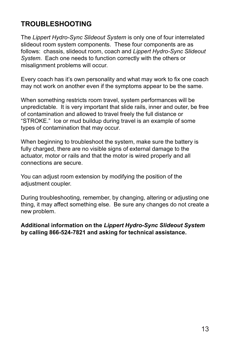# **TROUBLESHOOTING**

The *Lippert Hydro-Sync Slideout System* is only one of four interrelated slideout room system components. These four components are as follows: chassis, slideout room, coach and *Lippert Hydro-Sync Slideout System*. Each one needs to function correctly with the others or misalignment problems will occur.

Every coach has it's own personality and what may work to fix one coach may not work on another even if the symptoms appear to be the same.

When something restricts room travel, system performances will be unpredictable. It is very important that slide rails, inner and outer, be free of contamination and allowed to travel freely the full distance or "STROKE." Ice or mud buildup during travel is an example of some types of contamination that may occur.

When beginning to troubleshoot the system, make sure the battery is fully charged, there are no visible signs of external damage to the actuator, motor or rails and that the motor is wired properly and all connections are secure.

You can adjust room extension by modifying the position of the adjustment coupler.

During troubleshooting, remember, by changing, altering or adjusting one thing, it may affect something else. Be sure any changes do not create a new problem.

**Additional information on the** *Lippert Hydro-Sync Slideout System* **by calling 866-524-7821 and asking for technical assistance.**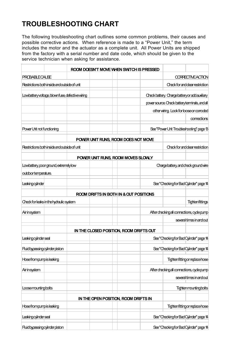# **TROUBLESHOOTING CHART**

The following troubleshooting chart outlines some common problems, their causes and possible corrective actions. When reference is made to a "Power Unit," the term includes the motor and the actuator as a complete unit. All Power Units are shipped from the factory with a serial number and date code, which should be given to the service technician when asking for assistance.

|                                                                                                |  | ROOM DOESN'T MOVE WHEN SWITCH IS PRESSED |                                              |                                        |  |
|------------------------------------------------------------------------------------------------|--|------------------------------------------|----------------------------------------------|----------------------------------------|--|
| <b>PROBABLE CAUSE</b>                                                                          |  |                                          |                                              | <b>CORRECTIVE ACTION</b>               |  |
| Restrictions both inside and outside of unit                                                   |  |                                          |                                              | <b>Check for and clear restriction</b> |  |
| Lowbatteryvoltage, blown fuse, defective wiring<br>Checkbattery. Chargebatteryor add auxiliary |  |                                          |                                              |                                        |  |
|                                                                                                |  |                                          | power source. Check batteryteminals, and all |                                        |  |
|                                                                                                |  |                                          | other wiring. Look for loose or corroded     |                                        |  |
|                                                                                                |  |                                          |                                              | comections                             |  |
| Power Unit not functioning                                                                     |  |                                          | See "Power Unit Troubleshooting" page 13     |                                        |  |
|                                                                                                |  | POWER UNIT RUNS, ROOM DOES NOT MOVE      |                                              |                                        |  |
| Restrictions both inside and outside of unit                                                   |  |                                          |                                              | Check for and dear restriction         |  |
|                                                                                                |  | POWER UNIT RUNS, ROOM MOVES SLOWLY       |                                              |                                        |  |
| Lowbattery, poor ground, extremely low                                                         |  |                                          | Chargebattery, and check ground wire         |                                        |  |
| outdoor temperature.                                                                           |  |                                          |                                              |                                        |  |
| <b>Leakingcylinder</b>                                                                         |  |                                          | See "Checking for Bad Cylinder" page 14      |                                        |  |
|                                                                                                |  | ROOM DRIFTS IN BOTH IN & OUT POSITIONS   |                                              |                                        |  |
| Checkforleaks in the hydraulic system                                                          |  |                                          |                                              | <b>Tighten fittings</b>                |  |
| Airinsystem                                                                                    |  |                                          | After checking all connections, cycle pump   |                                        |  |
|                                                                                                |  |                                          |                                              | several times in and out               |  |
|                                                                                                |  | IN THE CLOSED POSITION, ROOM DRIFTS OUT  |                                              |                                        |  |
| Leaking cylinder seal                                                                          |  |                                          | See "Checking for Bad Cylinder" page 14      |                                        |  |
| Fluid bypassing cylinder piston                                                                |  |                                          | See"Checking for Bad Cylinder" page 14       |                                        |  |
| <b>Hosefrompumpis leaking</b>                                                                  |  |                                          |                                              | <b>Tighten fitting or replace hose</b> |  |
| Airinsystem                                                                                    |  |                                          | After checking all connections, cycle pump   |                                        |  |
|                                                                                                |  |                                          |                                              | several times in and out               |  |
| Loosemountingbolts                                                                             |  |                                          |                                              | <b>Tighten mounting bolts</b>          |  |
|                                                                                                |  | IN THE OPEN POSITION, ROOM DRIFTS IN     |                                              |                                        |  |
| <b>Hosefrompumpis leaking</b>                                                                  |  |                                          |                                              | <b>Tighten fitting or replace hose</b> |  |
| Leaking cylinder seal                                                                          |  |                                          | See "Checking for Bad Cylinder" page 14      |                                        |  |
| Fluid bypassing cylinder piston                                                                |  |                                          | See"Checking for Bad Cylinder" page 14       |                                        |  |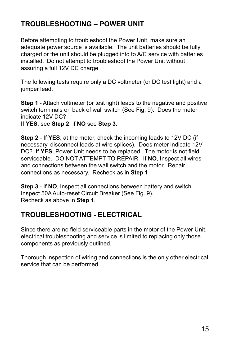# **TROUBLESHOOTING – POWER UNIT**

Before attempting to troubleshoot the Power Unit, make sure an adequate power source is available. The unit batteries should be fully charged or the unit should be plugged into to A/C service with batteries installed. Do not attempt to troubleshoot the Power Unit without assuring a full 12V DC charge

The following tests require only a DC voltmeter (or DC test light) and a jumper lead.

**Step 1** - Attach voltmeter (or test light) leads to the negative and positive switch terminals on back of wall switch (See Fig. 9). Does the meter indicate 12V DC?

If **YES**, see **Step 2**; if **NO** see **Step 3**.

**Step 2** - If **YES**, at the motor, check the incoming leads to 12V DC (if necessary, disconnect leads at wire splices). Does meter indicate 12V DC? If **YES**, Power Unit needs to be replaced. The motor is not field serviceable. DO NOT ATTEMPT TO REPAIR. If **NO**, Inspect all wires and connections between the wall switch and the motor. Repair connections as necessary. Recheck as in **Step 1**.

**Step 3** - If **NO**, Inspect all connections between battery and switch. Inspect 50A Auto-reset Circuit Breaker (See Fig. 9). Recheck as above in **Step 1**.

#### **TROUBLESHOOTING - ELECTRICAL**

Since there are no field serviceable parts in the motor of the Power Unit, electrical troubleshooting and service is limited to replacing only those components as previously outlined.

Thorough inspection of wiring and connections is the only other electrical service that can be performed.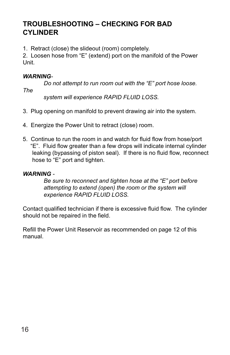#### **TROUBLESHOOTING – CHECKING FOR BAD CYLINDER**

1. Retract (close) the slideout (room) completely.

2. Loosen hose from "E" (extend) port on the manifold of the Power Unit.

#### *WARNING-*

*Do not attempt to run room out with the "E" port hose loose.*

*The*

 *system will experience RAPID FLUID LOSS.*

- 3. Plug opening on manifold to prevent drawing air into the system.
- 4. Energize the Power Unit to retract (close) room.
- 5. Continue to run the room in and watch for fluid flow from hose/port "E". Fluid flow greater than a few drops will indicate internal cylinder leaking (bypassing of piston seal). If there is no fluid flow, reconnect hose to "E" port and tighten.

#### *WARNING -*

*Be sure to reconnect and tighten hose at the "E" port before attempting to extend (open) the room or the system will experience RAPID FLUID LOSS.*

Contact qualified technician if there is excessive fluid flow. The cylinder should not be repaired in the field.

Refill the Power Unit Reservoir as recommended on page 12 of this manual.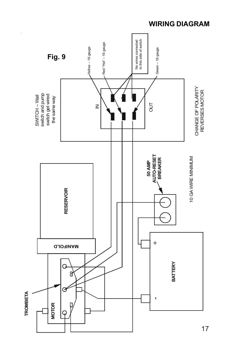

#### **WIRING DIAGRAM**

17